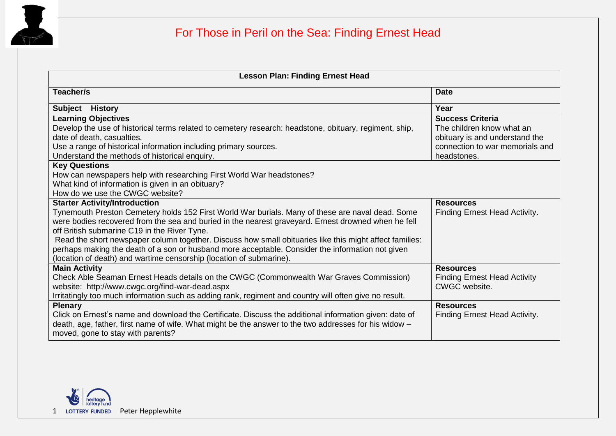

| <b>Lesson Plan: Finding Ernest Head</b>                                                                                                                                                                                                                                                                                                                                                                                                                                                                                                                                               |                                                                                                                                          |  |
|---------------------------------------------------------------------------------------------------------------------------------------------------------------------------------------------------------------------------------------------------------------------------------------------------------------------------------------------------------------------------------------------------------------------------------------------------------------------------------------------------------------------------------------------------------------------------------------|------------------------------------------------------------------------------------------------------------------------------------------|--|
| Teacher/s                                                                                                                                                                                                                                                                                                                                                                                                                                                                                                                                                                             | <b>Date</b>                                                                                                                              |  |
| Subject History                                                                                                                                                                                                                                                                                                                                                                                                                                                                                                                                                                       | Year                                                                                                                                     |  |
| <b>Learning Objectives</b><br>Develop the use of historical terms related to cemetery research: headstone, obituary, regiment, ship,<br>date of death, casualties.<br>Use a range of historical information including primary sources.<br>Understand the methods of historical enquiry.                                                                                                                                                                                                                                                                                               | <b>Success Criteria</b><br>The children know what an<br>obituary is and understand the<br>connection to war memorials and<br>headstones. |  |
| <b>Key Questions</b><br>How can newspapers help with researching First World War headstones?<br>What kind of information is given in an obituary?<br>How do we use the CWGC website?                                                                                                                                                                                                                                                                                                                                                                                                  |                                                                                                                                          |  |
| <b>Starter Activity/Introduction</b><br>Tynemouth Preston Cemetery holds 152 First World War burials. Many of these are naval dead. Some<br>were bodies recovered from the sea and buried in the nearest graveyard. Ernest drowned when he fell<br>off British submarine C19 in the River Tyne.<br>Read the short newspaper column together. Discuss how small obituaries like this might affect families:<br>perhaps making the death of a son or husband more acceptable. Consider the information not given<br>(location of death) and wartime censorship (location of submarine). | <b>Resources</b><br>Finding Ernest Head Activity.                                                                                        |  |
| <b>Main Activity</b><br>Check Able Seaman Ernest Heads details on the CWGC (Commonwealth War Graves Commission)<br>website: http://www.cwgc.org/find-war-dead.aspx<br>Irritatingly too much information such as adding rank, regiment and country will often give no result.                                                                                                                                                                                                                                                                                                          | <b>Resources</b><br><b>Finding Ernest Head Activity</b><br>CWGC website.                                                                 |  |
| <b>Plenary</b><br>Click on Ernest's name and download the Certificate. Discuss the additional information given: date of<br>death, age, father, first name of wife. What might be the answer to the two addresses for his widow –<br>moved, gone to stay with parents?                                                                                                                                                                                                                                                                                                                | <b>Resources</b><br>Finding Ernest Head Activity.                                                                                        |  |

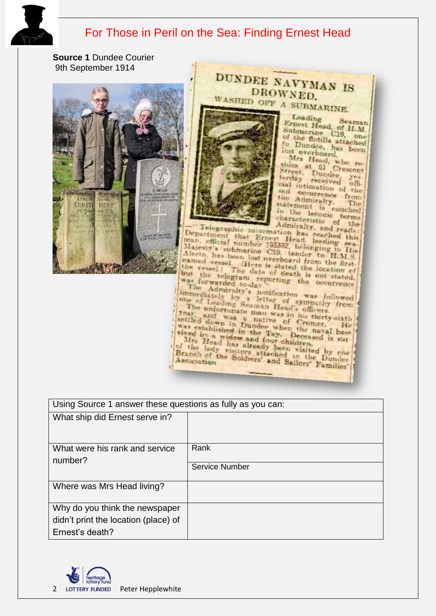

## For Those in Peril on the Sea: Finding Ernest Head

**Source 1** Dundee Courier 9th September 1914





Leading Leading Seaman<br>
Submarine C19, one<br>
of the flotilla attached<br>
to Dundes Attached Seaman to Dundee, has been last overboard.

lost overboard. Mrs Hend, who resides at 51 Crescent Street, Dundee, yes cal intimation of the the Admiralty. statement is couched in the laconic terms characteristic of the Admiralty, and reads:

Telegraphic information has reached this<br>Department that Ernest Head, leading sea,<br>man, official number 193392, belonging to His<br>Majesty's submarine C19, tender to H.M.S.<br>Alecto, has been lost overboard from the named Alecto, has been lost overboard from the first-Aleeto, has been lost overboard from the first, the vessel. (Here is stated the location of but the telegram reporting the occurrence was furwarded to day.)

DUNDEE NAVYMAN IS DROWNED.

but the telegram reporting the occurrence The Admiralty's notification was followed immediately by a letter of sympathy from the unfortunate mann Head's officers. The unfortunate man was in head's officers.<br>
The unfortunate man was in his thirty-sixth settled down in Dunive of Cromer. He<br>
was established in the When the naval base<br>
vived by a widow and fay. Deceased is surwas established in the Tay. Deceased is sur-<br>wived by a widow and four children.<br>Mrs Head has and four children.<br>of the lady visitors attached to the Dundee<br>Branch of the Soldiers' and Sailors' Families'

| Using Source 1 answer these questions as fully as you can: |                       |  |  |
|------------------------------------------------------------|-----------------------|--|--|
| What ship did Ernest serve in?                             |                       |  |  |
| What were his rank and service<br>number?                  | Rank                  |  |  |
|                                                            | <b>Service Number</b> |  |  |
| Where was Mrs Head living?                                 |                       |  |  |
| Why do you think the newspaper                             |                       |  |  |
| didn't print the location (place) of                       |                       |  |  |
| Ernest's death?                                            |                       |  |  |